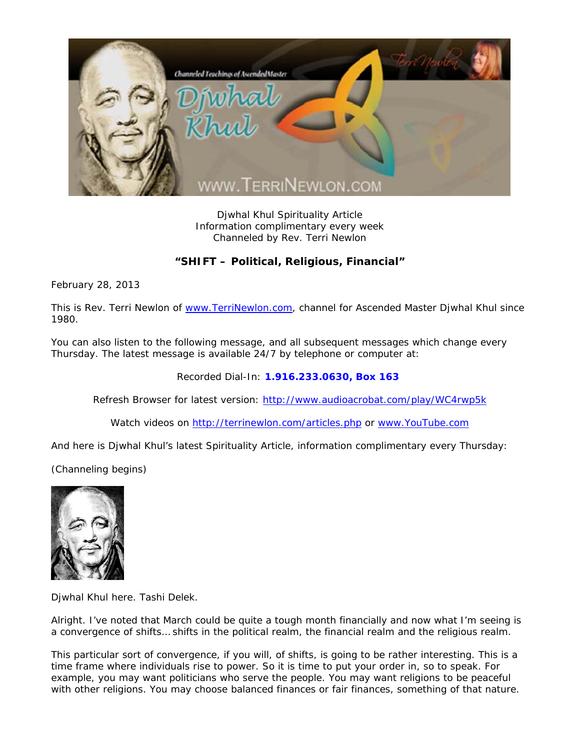

Djwhal Khul Spirituality Article Information complimentary every week Channeled by Rev. Terri Newlon

## **"SHIFT – Political, Religious, Financial"**

February 28, 2013

This is Rev. Terri Newlon of www.TerriNewlon.com, channel for Ascended Master Djwhal Khul since 1980.

You can also listen to the following message, and all subsequent messages which change every Thursday. The latest message is available 24/7 by telephone or computer at:

Recorded Dial-In: **1.916.233.0630, Box 163** 

Refresh Browser for latest version: http://www.audioacrobat.com/play/WC4rwp5k

Watch videos on http://terrinewlon.com/articles.php or www.YouTube.com

And here is Djwhal Khul's latest Spirituality Article, information complimentary every Thursday:

(Channeling begins)



Djwhal Khul here. Tashi Delek.

Alright. I've noted that March could be quite a tough month financially and now what I'm seeing is a convergence of shifts… shifts in the political realm, the financial realm and the religious realm.

This particular sort of convergence, if you will, of shifts, is going to be rather interesting. This is a time frame where individuals rise to power. So it is time to put your order in, so to speak. For example, you may want politicians who serve the people. You may want religions to be peaceful with other religions. You may choose balanced finances or fair finances, something of that nature.